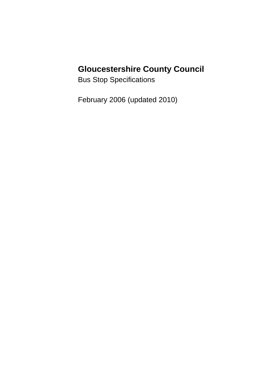# **Gloucestershire County Council**

Bus Stop Specifications

February 2006 (updated 2010)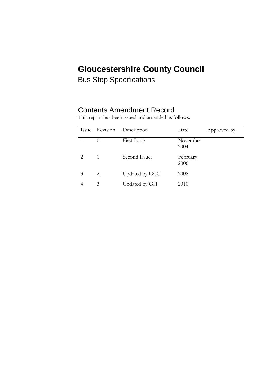# **Gloucestershire County Council**

Bus Stop Specifications

### Contents Amendment Record

|   | Issue Revision | Description    | Date             | Approved by |
|---|----------------|----------------|------------------|-------------|
|   | $\theta$       | First Issue    | November<br>2004 |             |
|   | 1              | Second Issue.  | February<br>2006 |             |
| 3 | 2              | Updated by GCC | 2008             |             |
|   | 3              | Updated by GH  | 2010             |             |

This report has been issued and amended as follows: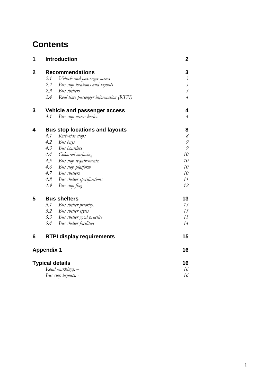## **Contents**

| 1                      |                                       | <b>Introduction</b>                    | 2                         |
|------------------------|---------------------------------------|----------------------------------------|---------------------------|
| $\overline{2}$         | <b>Recommendations</b>                | 3                                      |                           |
|                        | 2.1                                   | Vehicle and passenger access           | $\mathfrak{Z}$            |
|                        | 2.2                                   | Bus stop locations and layouts         | $\mathfrak{Z}$            |
|                        |                                       | 2.3 Bus shelters                       | $\overline{\mathfrak{z}}$ |
|                        | 2.4                                   | Real time passenger information (RTPI) | $\overline{4}$            |
| 3                      | Vehicle and passenger access          |                                        | 4                         |
|                        | 3.1                                   | Bus stop access kerbs.                 | $\overline{\mathcal{A}}$  |
| 4                      | <b>Bus stop locations and layouts</b> |                                        | 8                         |
|                        | 4.1                                   | Kerb-side stops                        | $\mathcal S$              |
|                        | 4.2                                   | Bus bays                               | 9                         |
|                        | 4.3                                   | Bus boarders                           | 9                         |
|                        |                                       | 4.4 Coloured surfacing                 | 10                        |
|                        |                                       | 4.5 Bus stop requirements.             | 10                        |
|                        | 4.6                                   | Bus stop platform                      | 10                        |
|                        |                                       | 4.7 Bus shelters                       | 10                        |
|                        |                                       | 4.8 Bus shelter specifications         | 11                        |
|                        | 4.9                                   | Bus stop flag                          | 12                        |
| 5                      |                                       | <b>Bus shelters</b>                    | 13                        |
|                        | 5.1                                   | Bus shelter priority.                  | 13                        |
|                        |                                       | 5.2 Bus shelter styles                 | 13                        |
|                        |                                       | 5.3 Bus shelter good practice          | 13                        |
|                        | 5.4                                   | Bus shelter facilities                 | 14                        |
| 6                      |                                       | <b>RTPI display requirements</b>       | 15                        |
| <b>Appendix 1</b>      |                                       |                                        | 16                        |
| <b>Typical details</b> |                                       |                                        | 16                        |
|                        |                                       | Road markings: -                       | 16                        |
|                        |                                       | Bus stop layouts: -                    | 16                        |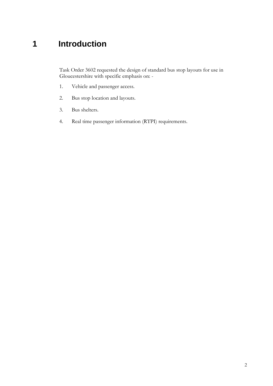## **1 Introduction**

Task Order 3602 requested the design of standard bus stop layouts for use in Gloucestershire with specific emphasis on: -

- 1. Vehicle and passenger access.
- 2. Bus stop location and layouts.
- 3. Bus shelters.
- 4. Real time passenger information (RTPI) requirements.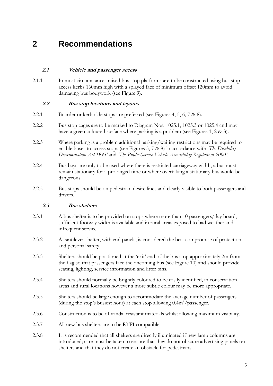### **2 Recommendations**

#### **2.1 Vehicle and passenger access**

2.1.1 In most circumstances raised bus stop platforms are to be constructed using bus stop access kerbs 160mm high with a splayed face of minimum offset 120mm to avoid damaging bus bodywork (see Figure 9).

#### **2.2 Bus stop locations and layouts**

- 2.2.1 Boarder or kerb-side stops are preferred (see Figures 4, 5, 6, 7 & 8).
- 2.2.2 Bus stop cages are to be marked to Diagram Nos. 1025.1, 1025.3 or 1025.4 and may have a green coloured surface where parking is a problem (see Figures 1, 2 & 3).
- 2.2.3 Where parking is a problem additional parking/waiting restrictions may be required to enable buses to access stops (see Figures 5, 7 & 8) in accordance with *'The Disability Discrimination Act 1995'* and *'The Public Service Vehicle Accessibility Regulations 2000'.*
- 2.2.4 Bus bays are only to be used where there is restricted carriageway width, a bus must remain stationary for a prolonged time or where overtaking a stationary bus would be dangerous.
- 2.2.5 Bus stops should be on pedestrian desire lines and clearly visible to both passengers and drivers.

#### **2.3 Bus shelters**

- 2.3.1 A bus shelter is to be provided on stops where more than 10 passengers/day board, sufficient footway width is available and in rural areas exposed to bad weather and infrequent service.
- 2.3.2 A cantilever shelter, with end panels, is considered the best compromise of protection and personal safety.
- 2.3.3 Shelters should be positioned at the "exit" end of the bus stop approximately 2m from the flag so that passengers face the oncoming bus (see Figure 10) and should provide seating, lighting, service information and litter bins.
- 2.3.4 Shelters should normally be brightly coloured to be easily identified, in conservation areas and rural locations however a more subtle colour may be more appropriate.
- 2.3.5 Shelters should be large enough to accommodate the average number of passengers (during the stop's busiest hour) at each stop allowing  $0.4 \text{m}^2/\text{passenger}$ .
- 2.3.6 Construction is to be of vandal resistant materials whilst allowing maximum visibility.
- 2.3.7 All new bus shelters are to be RTPI compatible.
- 2.3.8 It is recommended that all shelters are directly illuminated if new lamp columns are introduced; care must be taken to ensure that they do not obscure advertising panels on shelters and that they do not create an obstacle for pedestrians.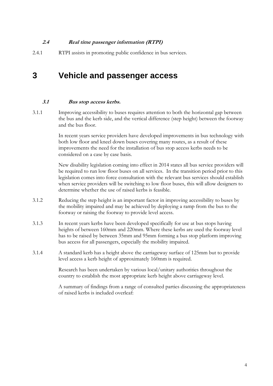#### **2.4 Real time passenger information (RTPI)**

2.4.1 RTPI assists in promoting public confidence in bus services.

### **3 Vehicle and passenger access**

#### **3.1 Bus stop access kerbs.**

3.1.1 Improving accessibility to buses requires attention to both the horizontal gap between the bus and the kerb side, and the vertical difference (step height) between the footway and the bus floor.

> In recent years service providers have developed improvements in bus technology with both low floor and kneel down buses covering many routes, as a result of these improvements the need for the installation of bus stop access kerbs needs to be considered on a case by case basis.

> New disability legislation coming into effect in 2014 states all bus service providers will be required to run low floor buses on all services. In the transition period prior to this legislation comes into force consultation with the relevant bus services should establish when service providers will be switching to low floor buses, this will allow designers to determine whether the use of raised kerbs is feasible.

- 3.1.2 Reducing the step height is an important factor in improving accessibility to buses by the mobility impaired and may be achieved by deploying a ramp from the bus to the footway or raising the footway to provide level access.
- 3.1.3 In recent years kerbs have been developed specifically for use at bus stops having heights of between 160mm and 220mm. Where these kerbs are used the footway level has to be raised by between 35mm and 95mm forming a bus stop platform improving bus access for all passengers, especially the mobility impaired.
- 3.1.4 A standard kerb has a height above the carriageway surface of 125mm but to provide level access a kerb height of approximately 160mm is required.

Research has been undertaken by various local/unitary authorities throughout the country to establish the most appropriate kerb height above carriageway level.

A summary of findings from a range of consulted parties discussing the appropriateness of raised kerbs is included overleaf: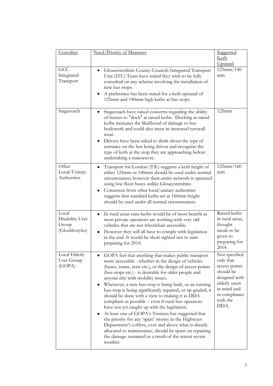| Consultee                                             | Need/Priority of Measures                                                                                                                                                                                                                                                                                                                                                                                                                                                                                                                                                                                                                                                                                                                                                                                                                                   | <b>Suggested</b><br><u>Kerb</u><br>Upstand                                                                                                     |
|-------------------------------------------------------|-------------------------------------------------------------------------------------------------------------------------------------------------------------------------------------------------------------------------------------------------------------------------------------------------------------------------------------------------------------------------------------------------------------------------------------------------------------------------------------------------------------------------------------------------------------------------------------------------------------------------------------------------------------------------------------------------------------------------------------------------------------------------------------------------------------------------------------------------------------|------------------------------------------------------------------------------------------------------------------------------------------------|
| GCC<br>Integrated<br>Transport                        | Gloucestershire County Councils Integrated Transport<br>Unit (ITU) Team have stated they wish to be fully<br>consulted on any scheme involving the installation of<br>new bus stops.<br>A preference has been stated for a kerb upstand of<br>125mm and 140mm high kerbs at bus stops.                                                                                                                                                                                                                                                                                                                                                                                                                                                                                                                                                                      | 125mm/140<br>mm                                                                                                                                |
| Stagecoach                                            | Stagecoach have raised concerns regarding the ability<br>٠<br>of busses to "dock" at raised kerbs. Docking at raised<br>kerbs increases the likelihood of damage to bus<br>bodywork and could also incur in increased tyrewall<br>wear.<br>Drivers have been asked to think about the type of<br>entrance on the bus being driven and recognise the<br>type of kerb at the stop they are approaching before<br>undertaking a manoeuvre.                                                                                                                                                                                                                                                                                                                                                                                                                     | 125mm                                                                                                                                          |
| Other<br>Local/Unitary<br>Authorities                 | Transport for London (TfL) suggests a kerb height of<br>either 125mm or 140mm should be used under normal<br>circumstances however their entire network is operated<br>using low floor buses unlike Gloucestershire.<br>Consensus from other local/unitary authorities<br>suggests that standard kerbs set at 160mm height<br>should be used under all normal circumstances.                                                                                                                                                                                                                                                                                                                                                                                                                                                                                | 125mm/160<br>mm                                                                                                                                |
| Local<br>Disability User<br>Group<br>(Gloslifestyles) | In rural areas raise kerbs would be of most benefit as<br>most private operators are working with very old<br>vehicles that are not wheelchair accessible.<br>However they will all have to comply with legislation<br>in the end. It would be short sighted not to start<br>preparing for 2014.                                                                                                                                                                                                                                                                                                                                                                                                                                                                                                                                                            | Raised kerbs<br>in rural areas,<br>thought<br>needs to be<br>given to<br>preparing for<br>2014.                                                |
| Local Elderly<br>User Group<br>(GOPA)                 | GOPA feel that anything that makes public transport<br>more accessible - whether in the design of vehicles<br>(buses, trains, taxis etc.), or the design of access points<br>(bus-stops etc.) - is desirable for older people and<br>anyone else with mobility issues.<br>Whenever, a new bus-stop is being built, or an existing<br>bus-stop is being significantly repaired, or up-graded, it<br>should be done with a view to making it as DDA<br>compliant as possible – even if rural bus operators<br>have not yet caught up with the legislation.<br>At least one of GOPA's Trustees has suggested that<br>the priority for any 'spare' money in the Highways<br>Department's coffers, over and above what is already<br>allocated to maintenance, should be spent on repairing<br>the damage sustained as a result of the recent severe<br>weather. | Not specified<br>only that<br>access points<br>should be<br>designed with<br>elderly users<br>in mind and<br>in compliance<br>with the<br>DDA. |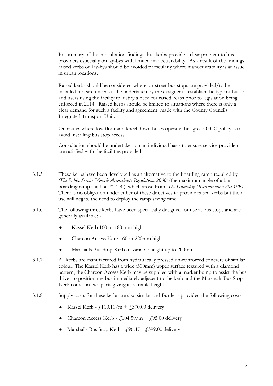In summary of the consultation findings, bus kerbs provide a clear problem to bus providers especially on lay-bys with limited manoeuvrability. As a result of the findings raised kerbs on lay-bys should be avoided particularly where manoeuvrability is an issue in urban locations.

Raised kerbs should be considered where on-street bus stops are provided/to be installed, research needs to be undertaken by the designer to establish the type of busses and users using the facility to justify a need for raised kerbs prior to legislation being enforced in 2014. Raised kerbs should be limited to situations where there is only a clear demand for such a facility and agreement made with the County Councils Integrated Transport Unit.

On routes where low floor and kneel down buses operate the agreed GCC policy is to avoid installing bus stop access.

Consultation should be undertaken on an individual basis to ensure service providers are satisfied with the facilities provided.

- 3.1.5 These kerbs have been developed as an alternative to the boarding ramp required by *The Public Service Vehicle Accessibility Regulations 2000'* (the maximum angle of a bus boarding ramp shall be 7<sup>°</sup> [1:8]), which arose from *'The Disability Discrimination Act 1995'*. There is no obligation under either of these directives to provide raised kerbs but their use will negate the need to deploy the ramp saving time.
- 3.1.6 The following three kerbs have been specifically designed for use at bus stops and are generally available: -
	- Kassel Kerb 160 or 180 mm high.
	- Charcon Access Kerb 160 or 220mm high.
	- Marshalls Bus Stop Kerb of variable height up to 200mm.
- 3.1.7 All kerbs are manufactured from hydraulically pressed un-reinforced concrete of similar colour. The Kassel Kerb has a wide (300mm) upper surface textured with a diamond pattern, the Charcon Access Kerb may be supplied with a marker bump to assist the bus driver to position the bus immediately adjacent to the kerb and the Marshalls Bus Stop Kerb comes in two parts giving its variable height.
- 3.1.8 Supply costs for these kerbs are also similar and Burdens provided the following costs:
	- Kassel Kerb  $f(110.10/m + f(370.00)$  delivery  $\bullet$
	- Charcon Access Kerb  $f(104.59/m + f(95.00)$  delivery
	- Marshalls Bus Stop Kerb  $f$ 96.47 +  $f$ 399.00 delivery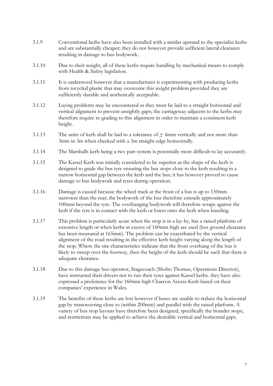- 3.1.9 Conventional kerbs have also been installed with a similar upstand to the specialist kerbs and are substantially cheaper; they do not however provide sufficient lateral clearance resulting in damage to bus bodywork.
- 3.1.10 Due to their weight, all of these kerbs require handling by mechanical means to comply with Health & Safety legislation.
- 3.1.11 It is understood however that a manufacturer is experimenting with producing kerbs from recycled plastic that may overcome this weight problem provided they are sufficiently durable and aesthetically acceptable.
- 3.1.12 Laying problems may be encountered as they must be laid to a straight horizontal and vertical alignment to prevent unsightly gaps; the carriageway adjacent to the kerbs may therefore require re-grading to this alignment in order to maintain a consistent kerb height.
- $3.1.13$  The units of kerb shall be laid to a tolerance of  $+$  6mm vertically and not more than 3mm in 3m when checked with a 3m straight edge horizontally.
- 3.1.14 The Marshalls kerb being a two part system is potentially more difficult to lay accurately.
- 3.1.15 The Kassel Kerb was initially considered to be superior as the shape of the kerb is designed to guide the bus tyre ensuring the bus stops close to the kerb resulting in a narrow horizontal gap between the kerb and the bus; it has however proved to cause damage to bus bodywork and tyres during operation.
- 3.1.16 Damage is caused because the wheel track at the front of a bus is up to 150mm narrower than the rear; the bodywork of the bus therefore extends approximately 100mm beyond the tyre. The overhanging bodywork will therefore scrape against the kerb if the tyre is in contact with the kerb or lower onto the kerb when kneeling.
- 3.1.17 This problem is particularly acute when the stop is in a lay-by, has a raised platform of extensive length or when kerbs in excess of 160mm high are used (bus ground clearance has been measured at 165mm). The problem can be exacerbated by the vertical alignment of the road resulting in the effective kerb height varying along the length of the stop. Where the site characteristics indicate that the front overhang of the bus is likely to sweep over the footway, then the height of the kerb should be such that there is adequate clearance.
- 3.1.18 Due to this damage bus operator, Stagecoach (Sholto Thomas, Operations Director), have instructed their drivers not to run their tyres against Kassel kerbs. they have also expressed a preference for the 160mm high Charcon Access Kerb based on their companies' experience in Wales.
- 3.1.19 The benefits of these kerbs are lost however if buses are unable to reduce the horizontal gap by manoeuvring close to (within 200mm) and parallel with the raised platform. A variety of bus stop layouts have therefore been designed, specifically the boarder stops, and restrictions may be applied to achieve the desirable vertical and horizontal gaps.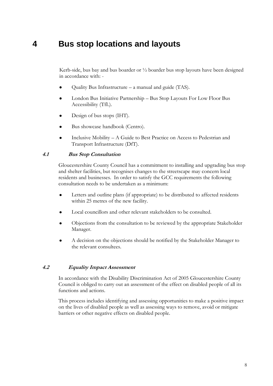### **4 Bus stop locations and layouts**

Kerb-side, bus bay and bus boarder or ½ boarder bus stop layouts have been designed in accordance with: -

- $\bullet$ Quality Bus Infrastructure – a manual and guide (TAS).
- London Bus Initiative Partnership Bus Stop Layouts For Low Floor Bus Accessibility (TfL).
- Design of bus stops (IHT).  $\bullet$
- Bus showcase handbook (Centro).
- Inclusive Mobility A Guide to Best Practice on Access to Pedestrian and Transport Infrastructure (DfT).

#### **4.1 Bus Stop Consultation**

Gloucestershire County Council has a commitment to installing and upgrading bus stop and shelter facilities, but recognises changes to the streetscape may concern local residents and businesses. In order to satisfy the GCC requirements the following consultation needs to be undertaken as a minimum:

- Letters and outline plans (if appropriate) to be distributed to affected residents  $\bullet$ within 25 metres of the new facility.
- Local councillors and other relevant stakeholders to be consulted.
- Objections from the consultation to be reviewed by the appropriate Stakeholder Manager.
- A decision on the objections should be notified by the Stakeholder Manager to the relevant consultees.

#### **4.2 Equality Impact Assessment**

In accordance with the Disability Discrimination Act of 2005 Gloucestershire County Council is obliged to carry out an assessment of the effect on disabled people of all its functions and actions.

This process includes identifying and assessing opportunities to make a positive impact on the lives of disabled people as well as assessing ways to remove, avoid or mitigate barriers or other negative effects on disabled people.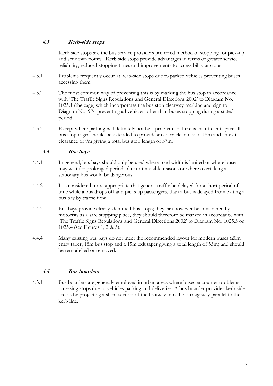#### **4.3 Kerb-side stops**

Kerb side stops are the bus service providers preferred method of stopping for pick-up and set down points. Kerb side stops provide advantages in terms of greater service reliability, reduced stopping times and improvements to accessibility at stops.

- 4.3.1 Problems frequently occur at kerb-side stops due to parked vehicles preventing buses accessing them.
- 4.3.2 The most common way of preventing this is by marking the bus stop in accordance with "The Traffic Signs Regulations and General Directions 2002" to Diagram No. 1025.1 (the cage) which incorporates the bus stop clearway marking and sign to Diagram No. 974 preventing all vehicles other than buses stopping during a stated period.
- 4.3.3 Except where parking will definitely not be a problem or there is insufficient space all bus stop cages should be extended to provide an entry clearance of 15m and an exit clearance of 9m giving a total bus stop length of 37m.

#### **4.4 Bus bays**

- 4.4.1 In general, bus bays should only be used where road width is limited or where buses may wait for prolonged periods due to timetable reasons or where overtaking a stationary bus would be dangerous.
- 4.4.2 It is considered more appropriate that general traffic be delayed for a short period of time while a bus drops off and picks up passengers, than a bus is delayed from exiting a bus bay by traffic flow.
- 4.4.3 Bus bays provide clearly identified bus stops; they can however be considered by motorists as a safe stopping place, they should therefore be marked in accordance with "The Traffic Signs Regulations and General Directions 2002" to Diagram No. 1025.3 or 1025.4 (see Figures 1, 2 & 3).
- 4.4.4 Many existing bus bays do not meet the recommended layout for modern buses (20m entry taper, 18m bus stop and a 15m exit taper giving a total length of 53m) and should be remodelled or removed.

#### **4.5 Bus boarders**

4.5.1 Bus boarders are generally employed in urban areas where buses encounter problems accessing stops due to vehicles parking and deliveries. A bus boarder provides kerb side access by projecting a short section of the footway into the carriageway parallel to the kerb line.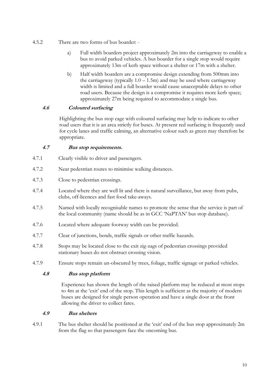- 4.5.2 There are two forms of bus boarder:
	- a) Full width boarders project approximately 2m into the carriageway to enable a bus to avoid parked vehicles. A bus boarder for a single stop would require approximately 13m of kerb space without a shelter or 17m with a shelter.
	- b) Half width boarders are a compromise design extending from 500mm into the carriageway (typically  $1.0 - 1.5$ m) and may be used where carriageway width is limited and a full boarder would cause unacceptable delays to other road users. Because the design is a compromise it requires more kerb space; approximately 27m being required to accommodate a single bus.

#### **4.6 Coloured surfacing**

Highlighting the bus stop cage with coloured surfacing may help to indicate to other road users that it is an area strictly for buses. At present red surfacing is frequently used for cycle lanes and traffic calming, an alternative colour such as green may therefore be appropriate.

#### **4.7 Bus stop requirements.**

- 4.7.1 Clearly visible to driver and passengers.
- 4.7.2 Near pedestrian routes to minimise walking distances.
- 4.7.3 Close to pedestrian crossings.
- 4.7.4 Located where they are well lit and there is natural surveillance, but away from pubs, clubs, off-licences and fast food take-aways.
- 4.7.5 Named with locally recognisable names to promote the sense that the service is part of the local community (name should be as in GCC "NaPTAN" bus stop database).
- 4.7.6 Located where adequate footway width can be provided.
- 4.7.7 Clear of junctions, bends, traffic signals or other traffic hazards.
- 4.7.8 Stops may be located close to the exit zig-zags of pedestrian crossings provided stationary buses do not obstruct crossing vision.
- 4.7.9 Ensure stops remain un-obscured by trees, foliage, traffic signage or parked vehicles.

#### **4.8 Bus stop platform**

Experience has shown the length of the raised platform may be reduced at most stops to 4m at the "exit" end of the stop. This length is sufficient as the majority of modern buses are designed for single person operation and have a single door at the front allowing the driver to collect fares.

#### **4.9 Bus shelters**

4.9.1 The bus shelter should be positioned at the "exit" end of the bus stop approximately 2m from the flag so that passengers face the oncoming bus.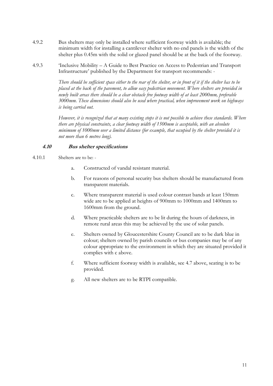- 4.9.2 Bus shelters may only be installed where sufficient footway width is available; the minimum width for installing a cantilever shelter with no end panels is the width of the shelter plus 0.45m with the solid or glazed panel should be at the back of the footway.
- 4.9.3 "Inclusive Mobility A Guide to Best Practice on Access to Pedestrian and Transport Infrastructure" published by the Department for transport recommends: -

*There should be sufficient space either to the rear of the shelter, or in front of it if the shelter has to be placed at the back of the pavement, to allow easy pedestrian movement. Where shelters are provided in newly built areas there should be a clear obstacle free footway width of at least 2000mm, preferable 3000mm. These dimensions should also be used where practical, when improvement work on highways is being carried out.*

*However, it is recognized that at many existing stops it is not possible to achieve these standards. Where there are physical constraints, a clear footway width of 1500mm is acceptable, with an absolute minimum of 1000mm over a limited distance (for example, that occupied by the shelter provided it is not more than 6 metres long).*

#### **4.10 Bus shelter specifications**

- 4.10.1 Shelters are to be:
	- a. Constructed of vandal resistant material.
	- b. For reasons of personal security bus shelters should be manufactured from transparent materials.
	- c. Where transparent material is used colour contrast bands at least 150mm wide are to be applied at heights of 900mm to 1000mm and 1400mm to 1600mm from the ground.
	- d. Where practicable shelters are to be lit during the hours of darkness, in remote rural areas this may be achieved by the use of solar panels.
	- e. Shelters owned by Gloucestershire County Council are to be dark blue in colour; shelters owned by parish councils or bus companies may be of any colour appropriate to the environment in which they are situated provided it complies with c above.
	- f. Where sufficient footway width is available, see 4.7 above, seating is to be provided.
	- g. All new shelters are to be RTPI compatible.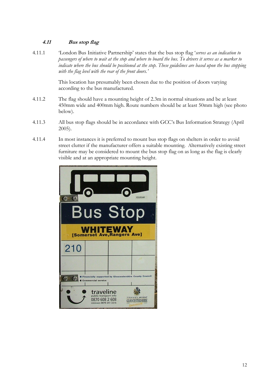#### **4.11 Bus stop flag**

4.11.1 "London Bus Initiative Partnership" states that the bus stop flag "*serves as an indication to passengers of where to wait at the stop and where to board the bus. To drivers it serves as a marker to indicate where the bus should be positioned at the stop. These guidelines are based upon the bus stopping with the flag level with the rear of the front doors.'*

> This location has presumably been chosen due to the position of doors varying according to the bus manufactured.

- 4.11.2 The flag should have a mounting height of 2.3m in normal situations and be at least 450mm wide and 400mm high. Route numbers should be at least 50mm high (see photo below).
- 4.11.3 All bus stop flags should be in accordance with GCC"s Bus Information Strategy (April 2005).
- 4.11.4 In most instances it is preferred to mount bus stop flags on shelters in order to avoid street clutter if the manufacturer offers a suitable mounting. Alternatively existing street furniture may be considered to mount the bus stop flag on as long as the flag is clearly visible and at an appropriate mounting height.

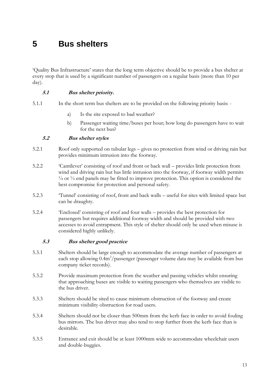## **5 Bus shelters**

"Quality Bus Infrastructure" states that the long term objective should be to provide a bus shelter at every stop that is used by a significant number of passengers on a regular basis (more than 10 per day).

#### **5.1 Bus shelter priority.**

- 5.1.1 In the short term bus shelters are to be provided on the following priority basis:
	- a) Is the site exposed to bad weather?
	- b) Passenger waiting time/buses per hour; how long do passengers have to wait for the next bus?

#### **5.2 Bus shelter styles**

- 5.2.1 Roof only supported on tubular legs gives no protection from wind or driving rain but provides minimum intrusion into the footway.
- 5.2.2 "Cantilever" consisting of roof and front or back wall provides little protection from wind and driving rain but has little intrusion into the footway, if footway width permits  $\frac{1}{4}$  or  $\frac{1}{2}$  end panels may be fitted to improve protection. This option is considered the best compromise for protection and personal safety.
- 5.2.3 "Tunnel" consisting of roof, front and back walls useful for sites with limited space but can be draughty.
- 5.2.4 "Enclosed" consisting of roof and four walls provides the best protection for passengers but requires additional footway width and should be provided with two accesses to avoid entrapment. This style of shelter should only be used when misuse is considered highly unlikely.

#### **5.3 Bus shelter good practice**

- 5.3.1 Shelters should be large enough to accommodate the average number of passengers at each stop allowing  $0.4 \text{m}^2/\text{passenger}$  (passenger volume data may be available from bus company ticket records).
- 5.3.2 Provide maximum protection from the weather and passing vehicles whilst ensuring that approaching buses are visible to waiting passengers who themselves are visible to the bus driver.
- 5.3.3 Shelters should be sited to cause minimum obstruction of the footway and create minimum visibility obstruction for road users.
- 5.3.4 Shelters should not be closer than 500mm from the kerb face in order to avoid fouling bus mirrors. The bus driver may also tend to stop further from the kerb face than is desirable.
- 5.3.5 Entrance and exit should be at least 1000mm wide to accommodate wheelchair users and double-buggies.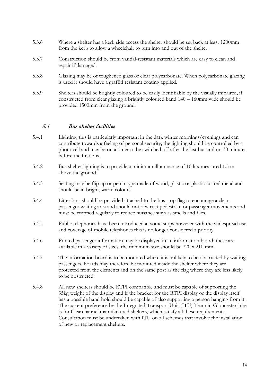- 5.3.6 Where a shelter has a kerb side access the shelter should be set back at least 1200mm from the kerb to allow a wheelchair to turn into and out of the shelter.
- 5.3.7 Construction should be from vandal-resistant materials which are easy to clean and repair if damaged.
- 5.3.8 Glazing may be of toughened glass or clear polycarbonate. When polycarbonate glazing is used it should have a graffiti resistant coating applied.
- 5.3.9 Shelters should be brightly coloured to be easily identifiable by the visually impaired, if constructed from clear glazing a brightly coloured band 140 – 160mm wide should be provided 1500mm from the ground.

#### **5.4 Bus shelter facilities**

- 5.4.1 Lighting, this is particularly important in the dark winter mornings/evenings and can contribute towards a feeling of personal security; the lighting should be controlled by a photo cell and may be on a timer to be switched off after the last bus and on 30 minutes before the first bus.
- 5.4.2 Bus shelter lighting is to provide a minimum illuminance of 10 lux measured 1.5 m above the ground.
- 5.4.3 Seating may be flip up or perch type made of wood, plastic or plastic-coated metal and should be in bright, warm colours.
- 5.4.4 Litter bins should be provided attached to the bus stop flag to encourage a clean passenger waiting area and should not obstruct pedestrian or passenger movements and must be emptied regularly to reduce nuisance such as smells and flies.
- 5.4.5 Public telephones have been introduced at some stops however with the widespread use and coverage of mobile telephones this is no longer considered a priority.
- 5.4.6 Printed passenger information may be displayed in an information board; these are available in a variety of sizes, the minimum size should be 720 x 210 mm.
- 5.4.7 The information board is to be mounted where it is unlikely to be obstructed by waiting passengers, boards may therefore be mounted inside the shelter where they are protected from the elements and on the same post as the flag where they are less likely to be obstructed.
- 5.4.8 All new shelters should be RTPI compatible and must be capable of supporting the 35kg weight of the display and if the bracket for the RTPI display or the display itself has a possible hand hold should be capable of also supporting a person hanging from it. The current preference by the Integrated Transport Unit (ITU) Team in Gloucestershire is for Clearchannel manufactured shelters, which satisfy all these requirements. Consultation must be undertaken with ITU on all schemes that involve the installation of new or replacement shelters.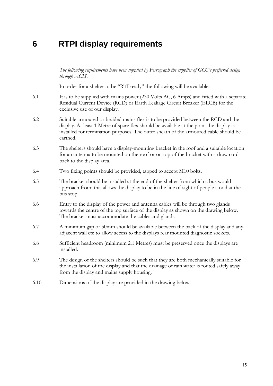### **6 RTPI display requirements**

*The following requirements have been supplied by Ferrograph the supplier of GCC's preferred design through ACIS.*

In order for a shelter to be "RTI ready" the following will be available: -

- 6.1 It is to be supplied with mains power (230 Volts AC, 6 Amps) and fitted with a separate Residual Current Device (RCD) or Earth Leakage Circuit Breaker (ELCB) for the exclusive use of our display.
- 6.2 Suitable armoured or braided mains flex is to be provided between the RCD and the display. At least 1 Metre of spare flex should be available at the point the display is installed for termination purposes. The outer sheath of the armoured cable should be earthed.
- 6.3 The shelters should have a display-mounting bracket in the roof and a suitable location for an antenna to be mounted on the roof or on top of the bracket with a draw cord back to the display area.
- 6.4 Two fixing points should be provided, tapped to accept M10 bolts.
- 6.5 The bracket should be installed at the end of the shelter from which a bus would approach from; this allows the display to be in the line of sight of people stood at the bus stop.
- 6.6 Entry to the display of the power and antenna cables will be through two glands towards the centre of the top surface of the display as shown on the drawing below. The bracket must accommodate the cables and glands.
- 6.7 A minimum gap of 50mm should be available between the back of the display and any adjacent wall etc to allow access to the displays rear mounted diagnostic sockets.
- 6.8 Sufficient headroom (minimum 2.1 Metres) must be preserved once the displays are installed.
- 6.9 The design of the shelters should be such that they are both mechanically suitable for the installation of the display and that the drainage of rain water is routed safely away from the display and mains supply housing.
- 6.10 Dimensions of the display are provided in the drawing below.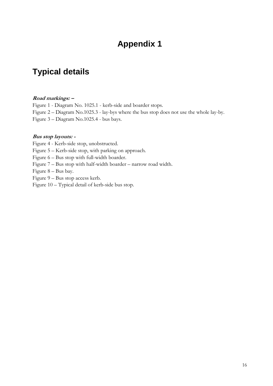## **Appendix 1**

## **Typical details**

#### **Road markings: –**

Figure 1 - Diagram No. 1025.1 - kerb-side and boarder stops. Figure 2 – Diagram No.1025.3 - lay-bys where the bus stop does not use the whole lay-by. Figure 3 – Diagram No.1025.4 - bus bays.

#### **Bus stop layouts: -**

Figure 4 - Kerb-side stop, unobstructed.

Figure 5 – Kerb-side stop, with parking on approach.

Figure 6 – Bus stop with full-width boarder.

Figure 7 – Bus stop with half-width boarder – narrow road width.

Figure 8 – Bus bay.

Figure 9 – Bus stop access kerb.

Figure 10 – Typical detail of kerb-side bus stop.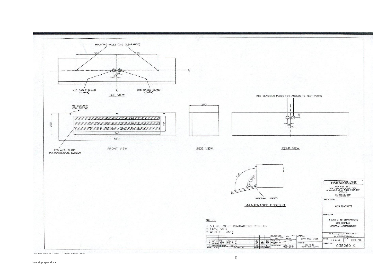

Doc No 3602/R1 Rev: 0 Date: DateFooter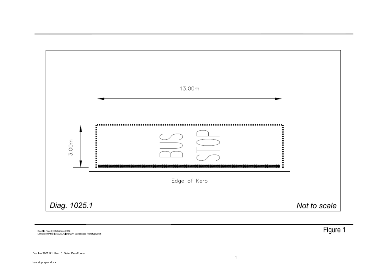

Doc No Rev: 01 Date: May 2002<br>L'Water\MARITIME\CAD\Library\A4 Landscape Prototype.dwg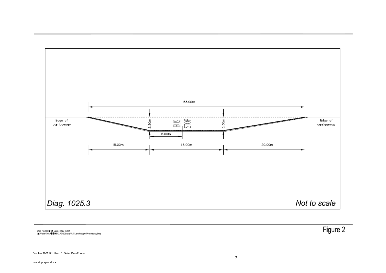

Doc No Rev. 01 Date: May 2002<br>L'Water\MARITIME\CAD\Library\A4 Landscape Prototype.dwg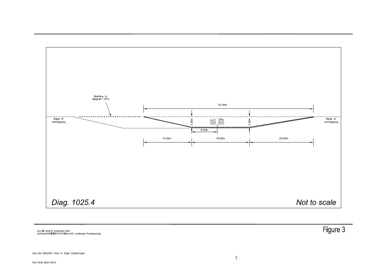

Doc No Rev. 01 Date: May 2002<br>L'Water\MARITIME\CAD\Library\A4 Landscape Prototype.dwg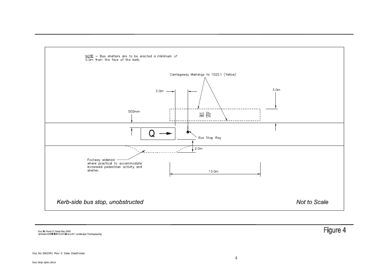

Doc No Rev. 01 Date: May 2002<br>L:Water\MARITIME\CAD\Library\A4 Landscape Prototype.dwg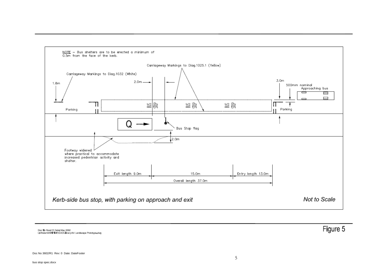

Doc No Rev. 01 Date: May 2002<br>L:Water\MARITIME\CAD\Library\A4 Landscape Prototype.dwg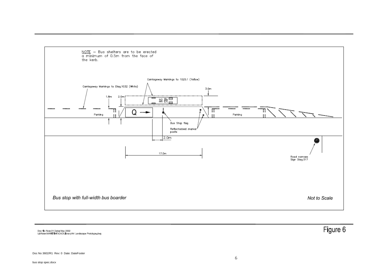

Doc No Rev: 01 Date: May 2002<br>L'Water\MARITIME\CAD\Library\A4 Landscape Prototype.dwg

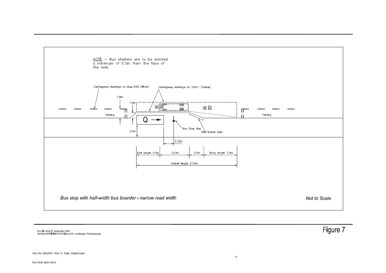

Doc No Rev. 01 Date: May 2002<br>L:Water\MARITIME\CAD\Library\A4 Landscape Prototype.dwg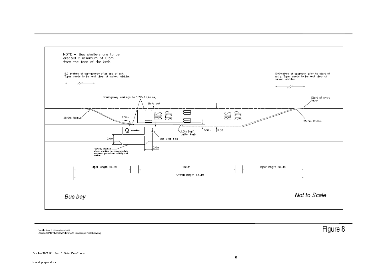

Doc No Rev: 01 Date: May 2002<br>L'Water\MARITIME\CAD\Library\A4 Landscape Prototype.dwg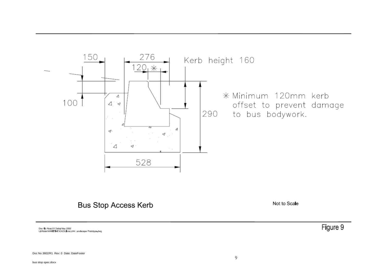

### **Bus Stop Access Kerb**

Not to Scale

Doc No Rev: 01 Date: May 2002<br>L'Water\MARITIME\CAD\Library\A4 Landscape Prototype.dwg